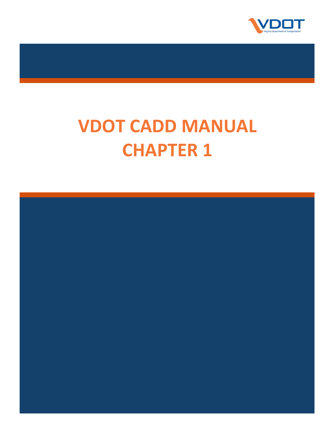

# **VDOT CADD MANUAL CHAPTER 1**

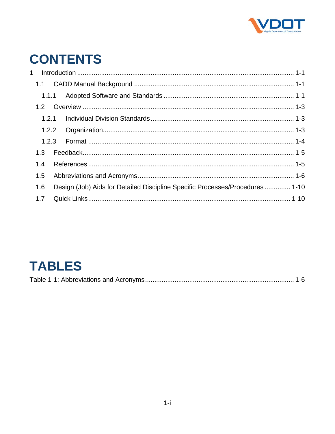

## **CONTENTS**

| 1.2.1 |  |                                                                              |  |
|-------|--|------------------------------------------------------------------------------|--|
|       |  |                                                                              |  |
|       |  |                                                                              |  |
| 1.3   |  |                                                                              |  |
| 1.4   |  |                                                                              |  |
| 1.5   |  |                                                                              |  |
| 1.6   |  | Design (Job) Aids for Detailed Discipline Specific Processes/Procedures 1-10 |  |
| 1.7   |  |                                                                              |  |
|       |  |                                                                              |  |

## **TABLES**

|--|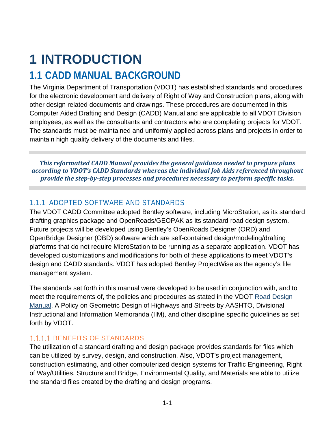## <span id="page-2-0"></span>**1 INTRODUCTION**

### <span id="page-2-1"></span>**1.1 CADD MANUAL BACKGROUND**

The Virginia Department of Transportation (VDOT) has established standards and procedures for the electronic development and delivery of Right of Way and Construction plans, along with other design related documents and drawings. These procedures are documented in this Computer Aided Drafting and Design (CADD) Manual and are applicable to all VDOT Division employees, as well as the consultants and contractors who are completing projects for VDOT. The standards must be maintained and uniformly applied across plans and projects in order to maintain high quality delivery of the documents and files.

*This reformatted CADD Manual provides the general guidance needed to prepare plans according to VDOT's CADD Standards whereas the individual Job Aids referenced throughout provide the step-by-step processes and procedures necessary to perform specific tasks.*

#### <span id="page-2-2"></span>1.1.1 ADOPTED SOFTWARE AND STANDARDS

The VDOT CADD Committee adopted Bentley software, including MicroStation, as its standard drafting graphics package and OpenRoads/GEOPAK as its standard road design system. Future projects will be developed using Bentley's OpenRoads Designer (ORD) and OpenBridge Designer (OBD) software which are self-contained design/modeling/drafting platforms that do not require MicroStation to be running as a separate application. VDOT has developed customizations and modifications for both of these applications to meet VDOT's design and CADD standards. VDOT has adopted Bentley ProjectWise as the agency's file management system.

The standards set forth in this manual were developed to be used in conjunction with, and to meet the requirements of, the policies and procedures as stated in the VDOT [Road Design](http://www.virginiadot.org/business/locdes/rdmanual-index.asp)  [Manual,](http://www.virginiadot.org/business/locdes/rdmanual-index.asp) A Policy on Geometric Design of Highways and Streets by AASHTO, Divisional Instructional and Information Memoranda (IIM), and other discipline specific guidelines as set forth by VDOT.

#### 1.1.1.1 BENEFITS OF STANDARDS

The utilization of a standard drafting and design package provides standards for files which can be utilized by survey, design, and construction. Also, VDOT's project management, construction estimating, and other computerized design systems for Traffic Engineering, Right of Way/Utilities, Structure and Bridge, Environmental Quality, and Materials are able to utilize the standard files created by the drafting and design programs.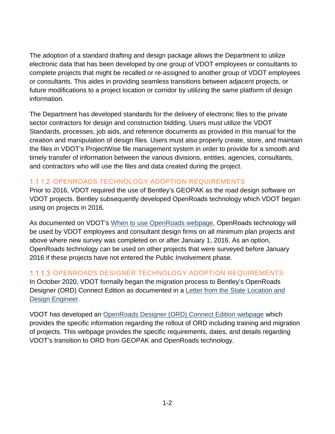The adoption of a standard drafting and design package allows the Department to utilize electronic data that has been developed by one group of VDOT employees or consultants to complete projects that might be recalled or re-assigned to another group of VDOT employees or consultants. This aides in providing seamless transitions between adjacent projects, or future modifications to a project location or corridor by utilizing the same platform of design information.

The Department has developed standards for the delivery of electronic files to the private sector contractors for design and construction bidding. Users must utilize the VDOT Standards, processes, job aids, and reference documents as provided in this manual for the creation and manipulation of design files. Users must also properly create, store, and maintain the files in VDOT's ProjectWise file management system in order to provide for a smooth and timely transfer of information between the various divisions, entities, agencies, consultants, and contractors who will use the files and data created during the project.

#### 1.1.1.2 OPENROADS TECHNOLOGY ADOPTION REQUIREMENTS

Prior to 2016, VDOT required the use of Bentley's GEOPAK as the road design software on VDOT projects. Bentley subsequently developed OpenRoads technology which VDOT began using on projects in 2016.

As documented on VDOT's [When to use OpenRoads webpage,](http://www.virginiadot.org/business/locdes/when_to_use_openroads.asp) OpenRoads technology will be used by VDOT employees and consultant design firms on all minimum plan projects and above where new survey was completed on or after January 1, 2016. As an option, OpenRoads technology can be used on other projects that were surveyed before January 2016 if these projects have not entered the Public Involvement phase.

#### 1.1.1.3 OPENROADS DESIGNER TECHNOLOGY ADOPTION REQUIREMENTS

In October 2020, VDOT formally began the migration process to Bentley's OpenRoads Designer (ORD) Connect Edition as documented in a [Letter from the State Location and](http://www.virginiadot.org/business/resources/LocDes/OpenRoads/ORD_Industry_Memo.pdf)  [Design Engineer.](http://www.virginiadot.org/business/resources/LocDes/OpenRoads/ORD_Industry_Memo.pdf)

VDOT has developed an [OpenRoads Designer \(ORD\) Connect Edition webpage](http://www.virginiadot.org/business/locdes/openroads_designer_rollout.asp) which provides the specific information regarding the rollout of ORD including training and migration of projects. This webpage provides the specific requirements, dates, and details regarding VDOT's transition to ORD from GEOPAK and OpenRoads technology.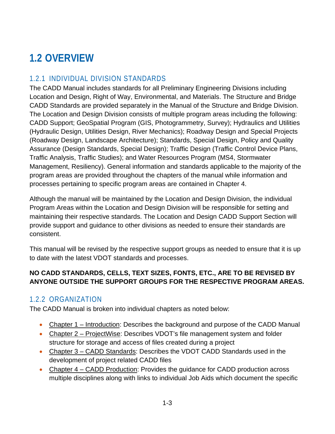## <span id="page-4-0"></span>**1.2 OVERVIEW**

#### <span id="page-4-1"></span>1.2.1 INDIVIDUAL DIVISION STANDARDS

The CADD Manual includes standards for all Preliminary Engineering Divisions including Location and Design, Right of Way, Environmental, and Materials. The Structure and Bridge CADD Standards are provided separately in the Manual of the Structure and Bridge Division. The Location and Design Division consists of multiple program areas including the following: CADD Support; GeoSpatial Program (GIS, Photogrammetry, Survey); Hydraulics and Utilities (Hydraulic Design, Utilities Design, River Mechanics); Roadway Design and Special Projects (Roadway Design, Landscape Architecture); Standards, Special Design, Policy and Quality Assurance (Design Standards, Special Design); Traffic Design (Traffic Control Device Plans, Traffic Analysis, Traffic Studies); and Water Resources Program (MS4, Stormwater Management, Resiliency). General information and standards applicable to the majority of the program areas are provided throughout the chapters of the manual while information and processes pertaining to specific program areas are contained in Chapter 4.

Although the manual will be maintained by the Location and Design Division, the individual Program Areas within the Location and Design Division will be responsible for setting and maintaining their respective standards. The Location and Design CADD Support Section will provide support and guidance to other divisions as needed to ensure their standards are consistent.

This manual will be revised by the respective support groups as needed to ensure that it is up to date with the latest VDOT standards and processes.

#### **NO CADD STANDARDS, CELLS, TEXT SIZES, FONTS, ETC., ARE TO BE REVISED BY ANYONE OUTSIDE THE SUPPORT GROUPS FOR THE RESPECTIVE PROGRAM AREAS.**

#### <span id="page-4-2"></span>1.2.2 ORGANIZATION

The CADD Manual is broken into individual chapters as noted below:

- Chapter 1 Introduction: Describes the background and purpose of the CADD Manual
- Chapter 2 ProjectWise: Describes VDOT's file management system and folder structure for storage and access of files created during a project
- Chapter 3 CADD Standards: Describes the VDOT CADD Standards used in the development of project related CADD files
- Chapter 4 CADD Production: Provides the quidance for CADD production across multiple disciplines along with links to individual Job Aids which document the specific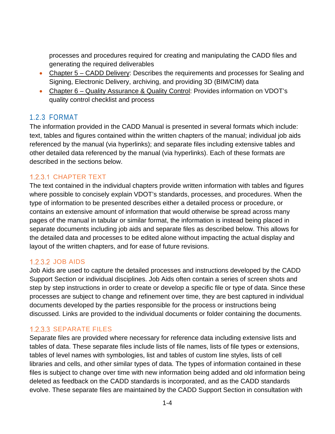processes and procedures required for creating and manipulating the CADD files and generating the required deliverables

- Chapter 5 CADD Delivery: Describes the requirements and processes for Sealing and Signing, Electronic Delivery, archiving, and providing 3D (BIM/CIM) data
- Chapter 6 Quality Assurance & Quality Control: Provides information on VDOT's quality control checklist and process

#### <span id="page-5-0"></span>1.2.3 FORMAT

The information provided in the CADD Manual is presented in several formats which include: text, tables and figures contained within the written chapters of the manual; individual job aids referenced by the manual (via hyperlinks); and separate files including extensive tables and other detailed data referenced by the manual (via hyperlinks). Each of these formats are described in the sections below.

#### 1.2.3.1 CHAPTER TEXT

The text contained in the individual chapters provide written information with tables and figures where possible to concisely explain VDOT's standards, processes, and procedures. When the type of information to be presented describes either a detailed process or procedure, or contains an extensive amount of information that would otherwise be spread across many pages of the manual in tabular or similar format, the information is instead being placed in separate documents including job aids and separate files as described below. This allows for the detailed data and processes to be edited alone without impacting the actual display and layout of the written chapters, and for ease of future revisions.

#### 1.2.3.2 JOB AIDS

Job Aids are used to capture the detailed processes and instructions developed by the CADD Support Section or individual disciplines. Job Aids often contain a series of screen shots and step by step instructions in order to create or develop a specific file or type of data. Since these processes are subject to change and refinement over time, they are best captured in individual documents developed by the parties responsible for the process or instructions being discussed. Links are provided to the individual documents or folder containing the documents.

#### 1.2.3.3 SEPARATE FILES

Separate files are provided where necessary for reference data including extensive lists and tables of data. These separate files include lists of file names, lists of file types or extensions, tables of level names with symbologies, list and tables of custom line styles, lists of cell libraries and cells, and other similar types of data. The types of information contained in these files is subject to change over time with new information being added and old information being deleted as feedback on the CADD standards is incorporated, and as the CADD standards evolve. These separate files are maintained by the CADD Support Section in consultation with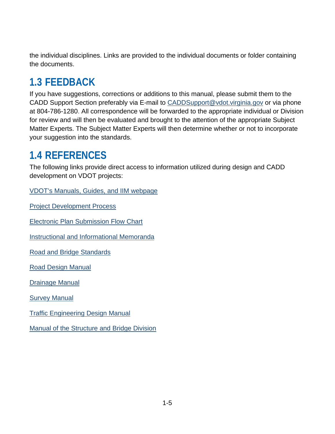the individual disciplines. Links are provided to the individual documents or folder containing the documents.

## <span id="page-6-0"></span>**1.3 FEEDBACK**

If you have suggestions, corrections or additions to this manual, please submit them to the CADD Support Section preferably via E-mail to [CADDSupport@vdot.virginia.gov](mailto:CADDSupport@vdot.virginia.gov?subject=CADD%20Manual%20Feedback) or via phone at 804-786-1280. All correspondence will be forwarded to the appropriate individual or Division for review and will then be evaluated and brought to the attention of the appropriate Subject Matter Experts. The Subject Matter Experts will then determine whether or not to incorporate your suggestion into the standards.

### <span id="page-6-1"></span>**1.4 REFERENCES**

The following links provide direct access to information utilized during design and CADD development on VDOT projects:

[VDOT's Manuals, Guides, and IIM webpage](http://www.virginiadot.org/business/manuals-default.asp)

[Project Development Process](http://www.virginiadot.org/projects/concureng-default.asp)

[Electronic Plan Submission Flow Chart](http://www.extranet.vdot.state.va.us/locdes/ElectronicPlan_Submission.pdf)

[Instructional and Informational Memoranda](http://www.virginiadot.org/business/locdes/rd-ii-memoranda-index.asp)

[Road and Bridge Standards](http://www.virginiadot.org/business/locdes/vdot_road_and_bridge_standards.asp)

[Road Design Manual](http://www.virginiadot.org/business/locdes/rdmanual-index.asp)

[Drainage Manual](http://www.virginiadot.org/business/locdes/hydra-drainage-manual.asp)

[Survey Manual](http://www.virginiadot.org/business/locdes/survey_manual.asp)

[Traffic Engineering Design Manual](http://www.virginiadot.org/business/locdes/traffic-engineering-manual.asp)

[Manual of the Structure and Bridge Division](http://www.virginiadot.org/business/bridge-manuals.asp)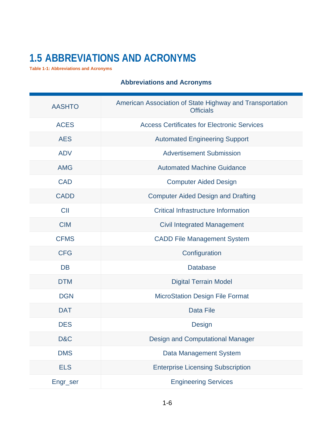## <span id="page-7-0"></span>**1.5 ABBREVIATIONS AND ACRONYMS**

<span id="page-7-1"></span>**Table 1-1: Abbreviations and Acronyms**

| <b>AASHTO</b> | American Association of State Highway and Transportation<br><b>Officials</b> |
|---------------|------------------------------------------------------------------------------|
| <b>ACES</b>   | <b>Access Certificates for Electronic Services</b>                           |
| <b>AES</b>    | <b>Automated Engineering Support</b>                                         |
| <b>ADV</b>    | <b>Advertisement Submission</b>                                              |
| <b>AMG</b>    | <b>Automated Machine Guidance</b>                                            |
| <b>CAD</b>    | <b>Computer Aided Design</b>                                                 |
| <b>CADD</b>   | <b>Computer Aided Design and Drafting</b>                                    |
| <b>CII</b>    | <b>Critical Infrastructure Information</b>                                   |
| <b>CIM</b>    | <b>Civil Integrated Management</b>                                           |
| <b>CFMS</b>   | <b>CADD File Management System</b>                                           |
| <b>CFG</b>    | Configuration                                                                |
| <b>DB</b>     | <b>Database</b>                                                              |
| <b>DTM</b>    | <b>Digital Terrain Model</b>                                                 |
| <b>DGN</b>    | <b>MicroStation Design File Format</b>                                       |
| <b>DAT</b>    | <b>Data File</b>                                                             |
| <b>DES</b>    | <b>Design</b>                                                                |
| D&C           | <b>Design and Computational Manager</b>                                      |
| <b>DMS</b>    | Data Management System                                                       |
| <b>ELS</b>    | <b>Enterprise Licensing Subscription</b>                                     |
| Engr_ser      | <b>Engineering Services</b>                                                  |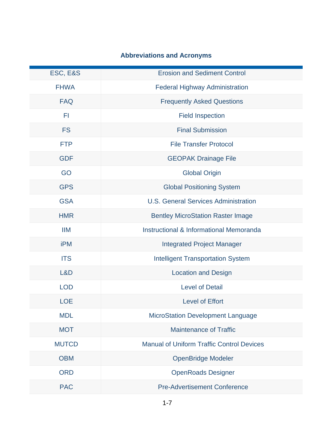| ESC, E&S     | <b>Erosion and Sediment Control</b>                |
|--------------|----------------------------------------------------|
| <b>FHWA</b>  | <b>Federal Highway Administration</b>              |
| <b>FAQ</b>   | <b>Frequently Asked Questions</b>                  |
| FI           | <b>Field Inspection</b>                            |
| <b>FS</b>    | <b>Final Submission</b>                            |
| <b>FTP</b>   | <b>File Transfer Protocol</b>                      |
| <b>GDF</b>   | <b>GEOPAK Drainage File</b>                        |
| GO           | <b>Global Origin</b>                               |
| <b>GPS</b>   | <b>Global Positioning System</b>                   |
| <b>GSA</b>   | <b>U.S. General Services Administration</b>        |
| <b>HMR</b>   | <b>Bentley MicroStation Raster Image</b>           |
| <b>IIM</b>   | <b>Instructional &amp; Informational Memoranda</b> |
| iPM          | <b>Integrated Project Manager</b>                  |
| <b>ITS</b>   | <b>Intelligent Transportation System</b>           |
| L&D          | <b>Location and Design</b>                         |
| <b>LOD</b>   | <b>Level of Detail</b>                             |
| <b>LOE</b>   | <b>Level of Effort</b>                             |
| <b>MDL</b>   | MicroStation Development Language                  |
| <b>MOT</b>   | <b>Maintenance of Traffic</b>                      |
| <b>MUTCD</b> | <b>Manual of Uniform Traffic Control Devices</b>   |
| <b>OBM</b>   | <b>OpenBridge Modeler</b>                          |
| <b>ORD</b>   | <b>OpenRoads Designer</b>                          |
| <b>PAC</b>   | <b>Pre-Advertisement Conference</b>                |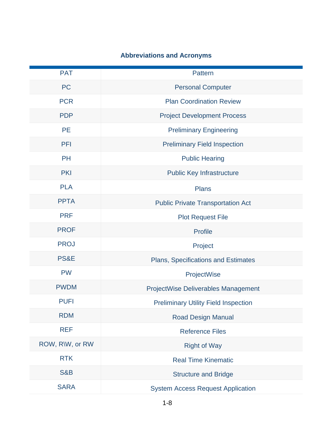| <b>PAT</b>      | Pattern                                     |
|-----------------|---------------------------------------------|
| <b>PC</b>       | <b>Personal Computer</b>                    |
| <b>PCR</b>      | <b>Plan Coordination Review</b>             |
| <b>PDP</b>      | <b>Project Development Process</b>          |
| <b>PE</b>       | <b>Preliminary Engineering</b>              |
| PFI             | <b>Preliminary Field Inspection</b>         |
| <b>PH</b>       | <b>Public Hearing</b>                       |
| <b>PKI</b>      | <b>Public Key Infrastructure</b>            |
| <b>PLA</b>      | <b>Plans</b>                                |
| <b>PPTA</b>     | <b>Public Private Transportation Act</b>    |
| <b>PRF</b>      | <b>Plot Request File</b>                    |
| <b>PROF</b>     | <b>Profile</b>                              |
| <b>PROJ</b>     | Project                                     |
| PS&E            | <b>Plans, Specifications and Estimates</b>  |
| <b>PW</b>       | ProjectWise                                 |
| <b>PWDM</b>     | <b>ProjectWise Deliverables Management</b>  |
| <b>PUFI</b>     | <b>Preliminary Utility Field Inspection</b> |
| <b>RDM</b>      | <b>Road Design Manual</b>                   |
| <b>REF</b>      | <b>Reference Files</b>                      |
| ROW, R\W, or RW | <b>Right of Way</b>                         |
| <b>RTK</b>      | <b>Real Time Kinematic</b>                  |
| <b>S&amp;B</b>  | <b>Structure and Bridge</b>                 |
| <b>SARA</b>     | <b>System Access Request Application</b>    |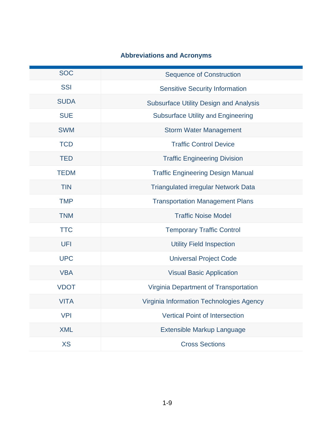| <b>SOC</b>  | <b>Sequence of Construction</b>               |
|-------------|-----------------------------------------------|
| <b>SSI</b>  | <b>Sensitive Security Information</b>         |
| <b>SUDA</b> | <b>Subsurface Utility Design and Analysis</b> |
| <b>SUE</b>  | <b>Subsurface Utility and Engineering</b>     |
| <b>SWM</b>  | <b>Storm Water Management</b>                 |
| <b>TCD</b>  | <b>Traffic Control Device</b>                 |
| <b>TED</b>  | <b>Traffic Engineering Division</b>           |
| <b>TEDM</b> | <b>Traffic Engineering Design Manual</b>      |
| <b>TIN</b>  | <b>Triangulated irregular Network Data</b>    |
| <b>TMP</b>  | <b>Transportation Management Plans</b>        |
| <b>TNM</b>  | <b>Traffic Noise Model</b>                    |
| <b>TTC</b>  | <b>Temporary Traffic Control</b>              |
| <b>UFI</b>  | <b>Utility Field Inspection</b>               |
| <b>UPC</b>  | <b>Universal Project Code</b>                 |
| <b>VBA</b>  | <b>Visual Basic Application</b>               |
| <b>VDOT</b> | Virginia Department of Transportation         |
| <b>VITA</b> | Virginia Information Technologies Agency      |
| <b>VPI</b>  | <b>Vertical Point of Intersection</b>         |
| <b>XML</b>  | Extensible Markup Language                    |
| <b>XS</b>   | <b>Cross Sections</b>                         |